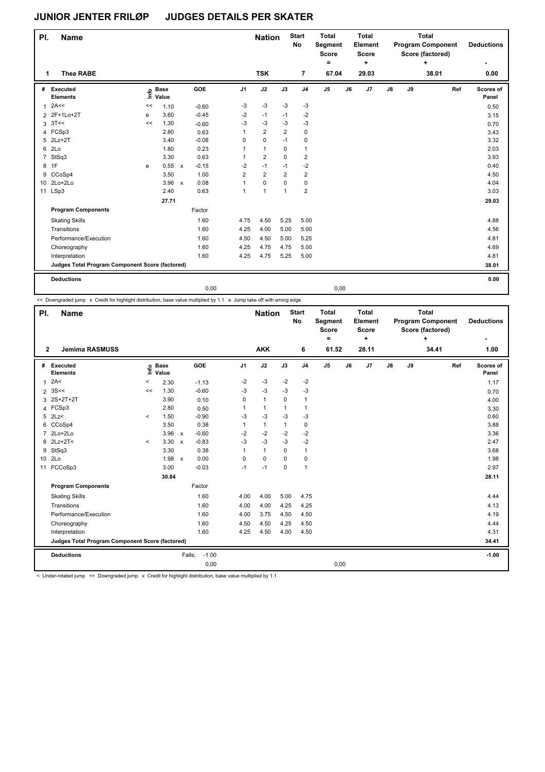| PI.            | <b>Name</b>                                     |    |                 |              |         |                | <b>Nation</b>  |                         | <b>Start</b><br>No | <b>Total</b><br>Segment<br><b>Score</b><br>۰ |    | <b>Total</b><br>Element<br><b>Score</b><br>٠ |    | <b>Total</b><br><b>Program Component</b><br>Score (factored) | <b>Deductions</b><br>۰ |     |                    |
|----------------|-------------------------------------------------|----|-----------------|--------------|---------|----------------|----------------|-------------------------|--------------------|----------------------------------------------|----|----------------------------------------------|----|--------------------------------------------------------------|------------------------|-----|--------------------|
| 1              | <b>Thea RABE</b>                                |    |                 |              |         |                |                |                         | 7                  | 67.04                                        |    | 29.03                                        |    |                                                              | 38.01                  |     | 0.00               |
| #              | Executed<br><b>Elements</b>                     | Ě  | o Base<br>Value |              | GOE     | J <sub>1</sub> | J2             | J3                      | J <sub>4</sub>     | J5                                           | J6 | J7                                           | J8 | J9                                                           |                        | Ref | Scores of<br>Panel |
| $\mathbf{1}$   | 2A<<                                            | << | 1.10            |              | $-0.60$ | -3             | $-3$           | $-3$                    | $-3$               |                                              |    |                                              |    |                                                              |                        |     | 0.50               |
| $\overline{2}$ | 2F+1Lo+2T                                       | e  | 3.60            |              | $-0.45$ | $-2$           | $-1$           | $-1$                    | $-2$               |                                              |    |                                              |    |                                                              |                        |     | 3.15               |
| 3              | 3T<<                                            | << | 1.30            |              | $-0.60$ | $-3$           | $-3$           | $-3$                    | $-3$               |                                              |    |                                              |    |                                                              |                        |     | 0.70               |
|                | 4 FCSp3                                         |    | 2.80            |              | 0.63    | 1              | $\overline{2}$ | $\overline{2}$          | 0                  |                                              |    |                                              |    |                                                              |                        |     | 3.43               |
| 5              | $2Lz+2T$                                        |    | 3.40            |              | $-0.08$ | 0              | $\mathbf 0$    | $-1$                    | 0                  |                                              |    |                                              |    |                                                              |                        |     | 3.32               |
| 6              | 2Lo                                             |    | 1.80            |              | 0.23    | 1              | $\mathbf{1}$   | $\mathbf 0$             | 1                  |                                              |    |                                              |    |                                                              |                        |     | 2.03               |
| 7              | StSq3                                           |    | 3.30            |              | 0.63    | 1              | $\overline{2}$ | $\mathbf 0$             | $\overline{2}$     |                                              |    |                                              |    |                                                              |                        |     | 3.93               |
| 8              | 1F                                              | e  | 0.55            | $\mathsf{x}$ | $-0.15$ | $-2$           | $-1$           | $-1$                    | $-2$               |                                              |    |                                              |    |                                                              |                        |     | 0.40               |
| 9              | CCoSp4                                          |    | 3.50            |              | 1.00    | $\overline{2}$ | $\overline{2}$ | $\overline{\mathbf{c}}$ | $\overline{2}$     |                                              |    |                                              |    |                                                              |                        |     | 4.50               |
|                | 10 2Lo+2Lo                                      |    | 3.96            | $\mathsf{x}$ | 0.08    | 1              | $\mathbf 0$    | 0                       | 0                  |                                              |    |                                              |    |                                                              |                        |     | 4.04               |
|                | 11 LSp3                                         |    | 2.40            |              | 0.63    | 1              | $\mathbf{1}$   | $\mathbf{1}$            | $\overline{2}$     |                                              |    |                                              |    |                                                              |                        |     | 3.03               |
|                |                                                 |    | 27.71           |              |         |                |                |                         |                    |                                              |    |                                              |    |                                                              |                        |     | 29.03              |
|                | <b>Program Components</b>                       |    |                 |              | Factor  |                |                |                         |                    |                                              |    |                                              |    |                                                              |                        |     |                    |
|                | <b>Skating Skills</b>                           |    |                 |              | 1.60    | 4.75           | 4.50           | 5.25                    | 5.00               |                                              |    |                                              |    |                                                              |                        |     | 4.88               |
|                | Transitions                                     |    |                 |              | 1.60    | 4.25           | 4.00           | 5.00                    | 5.00               |                                              |    |                                              |    |                                                              |                        |     | 4.56               |
|                | Performance/Execution                           |    |                 |              | 1.60    | 4.50           | 4.50           | 5.00                    | 5.25               |                                              |    |                                              |    |                                                              |                        |     | 4.81               |
|                | Choreography                                    |    |                 |              | 1.60    | 4.25           | 4.75           | 4.75                    | 5.00               |                                              |    |                                              |    |                                                              |                        |     | 4.69               |
|                | Interpretation                                  |    |                 |              | 1.60    | 4.25           | 4.75           | 5.25                    | 5.00               |                                              |    |                                              |    |                                                              |                        |     | 4.81               |
|                | Judges Total Program Component Score (factored) |    |                 |              |         |                |                |                         |                    |                                              |    |                                              |    |                                                              |                        |     | 38.01              |
|                | <b>Deductions</b>                               |    |                 |              |         |                |                |                         |                    |                                              |    |                                              |    |                                                              |                        |     | 0.00               |
|                |                                                 |    |                 |              | 0,00    |                |                |                         |                    | 0,00                                         |    |                                              |    |                                                              |                        |     |                    |

<< Downgraded jump x Credit for highlight distribution, base value multiplied by 1.1 e Jump take off with wrong edge

| PI.             | <b>Name</b>                                     |         |                      |                           |                   |                | <b>Nation</b> |              | <b>Start</b><br><b>No</b> | <b>Total</b><br>Segment<br><b>Score</b><br>۰ |    | <b>Total</b><br>Element<br><b>Score</b><br>÷ |               | <b>Total</b><br><b>Program Component</b><br>Score (factored) | <b>Deductions</b> |     |                    |
|-----------------|-------------------------------------------------|---------|----------------------|---------------------------|-------------------|----------------|---------------|--------------|---------------------------|----------------------------------------------|----|----------------------------------------------|---------------|--------------------------------------------------------------|-------------------|-----|--------------------|
|                 | <b>Jemima RASMUSS</b><br>$\overline{2}$         |         |                      |                           |                   |                | <b>AKK</b>    |              | 6                         | 61.52                                        |    | 28.11                                        |               |                                                              | 34.41             |     | 1.00               |
| #               | Executed<br><b>Elements</b>                     | ١nfo    | <b>Base</b><br>Value |                           | GOE               | J <sub>1</sub> | J2            | J3           | J <sub>4</sub>            | J <sub>5</sub>                               | J6 | J <sub>7</sub>                               | $\mathsf{J}8$ | J9                                                           |                   | Ref | Scores of<br>Panel |
| $\mathbf{1}$    | 2A<                                             | $\,<$   | 2.30                 |                           | $-1.13$           | $-2$           | $-3$          | $-2$         | $-2$                      |                                              |    |                                              |               |                                                              |                   |     | 1.17               |
| $\overline{2}$  | 3S<<                                            | <<      | 1.30                 |                           | $-0.60$           | $-3$           | $-3$          | $-3$         | $-3$                      |                                              |    |                                              |               |                                                              |                   |     | 0.70               |
|                 | 3 2S+2T+2T                                      |         | 3.90                 |                           | 0.10              | 0              | $\mathbf{1}$  | $\mathbf 0$  | $\mathbf{1}$              |                                              |    |                                              |               |                                                              |                   |     | 4.00               |
|                 | 4 FCSp3                                         |         | 2.80                 |                           | 0.50              | $\mathbf{1}$   | $\mathbf{1}$  | $\mathbf{1}$ | $\mathbf{1}$              |                                              |    |                                              |               |                                                              |                   |     | 3.30               |
| 5               | 2Lz                                             | $\,<$   | 1.50                 |                           | $-0.90$           | $-3$           | $-3$          | $-3$         | $-3$                      |                                              |    |                                              |               |                                                              |                   |     | 0.60               |
| 6               | CCoSp4                                          |         | 3.50                 |                           | 0.38              | $\mathbf{1}$   | $\mathbf{1}$  | $\mathbf{1}$ | $\pmb{0}$                 |                                              |    |                                              |               |                                                              |                   |     | 3.88               |
|                 | 7 2Lo+2Lo                                       |         | 3.96                 | $\mathsf{x}$              | $-0.60$           | $-2$           | $-2$          | $-2$         | $-2$                      |                                              |    |                                              |               |                                                              |                   |     | 3.36               |
|                 | 8 2Lz+2T<                                       | $\prec$ | 3.30                 | $\boldsymbol{\mathsf{x}}$ | $-0.83$           | $-3$           | $-3$          | $-3$         | $-2$                      |                                              |    |                                              |               |                                                              |                   |     | 2.47               |
| 9               | StSq3                                           |         | 3.30                 |                           | 0.38              | $\mathbf{1}$   | $\mathbf{1}$  | $\Omega$     | $\mathbf{1}$              |                                              |    |                                              |               |                                                              |                   |     | 3.68               |
| 10 <sup>1</sup> | 2Lo                                             |         | 1.98                 | $\mathsf{x}$              | 0.00              | 0              | $\Omega$      | $\Omega$     | $\mathbf 0$               |                                              |    |                                              |               |                                                              |                   |     | 1.98               |
| 11              | FCCoSp3                                         |         | 3.00                 |                           | $-0.03$           | $-1$           | $-1$          | 0            | $\mathbf{1}$              |                                              |    |                                              |               |                                                              |                   |     | 2.97               |
|                 |                                                 |         | 30.84                |                           |                   |                |               |              |                           |                                              |    |                                              |               |                                                              |                   |     | 28.11              |
|                 | <b>Program Components</b>                       |         |                      |                           | Factor            |                |               |              |                           |                                              |    |                                              |               |                                                              |                   |     |                    |
|                 | <b>Skating Skills</b>                           |         |                      |                           | 1.60              | 4.00           | 4.00          | 5.00         | 4.75                      |                                              |    |                                              |               |                                                              |                   |     | 4.44               |
|                 | Transitions                                     |         |                      |                           | 1.60              | 4.00           | 4.00          | 4.25         | 4.25                      |                                              |    |                                              |               |                                                              |                   |     | 4.13               |
|                 | Performance/Execution                           |         |                      |                           | 1.60              | 4.00           | 3.75          | 4.50         | 4.50                      |                                              |    |                                              |               |                                                              |                   |     | 4.19               |
|                 | Choreography                                    |         |                      |                           | 1.60              | 4.50           | 4.50          | 4.25         | 4.50                      |                                              |    |                                              |               |                                                              |                   |     | 4.44               |
|                 | Interpretation                                  |         |                      |                           | 1.60              | 4.25           | 4.50          | 4.00         | 4.50                      |                                              |    |                                              |               |                                                              |                   |     | 4.31               |
|                 | Judges Total Program Component Score (factored) |         |                      |                           |                   |                |               |              |                           |                                              |    |                                              |               |                                                              |                   |     | 34.41              |
|                 | <b>Deductions</b>                               |         |                      |                           | $-1.00$<br>Falls: |                |               |              |                           |                                              |    |                                              |               |                                                              |                   |     | $-1.00$            |
|                 |                                                 |         |                      |                           | 0,00              |                |               |              |                           | 0,00                                         |    |                                              |               |                                                              |                   |     |                    |

< Under-rotated jump << Downgraded jump x Credit for highlight distribution, base value multiplied by 1.1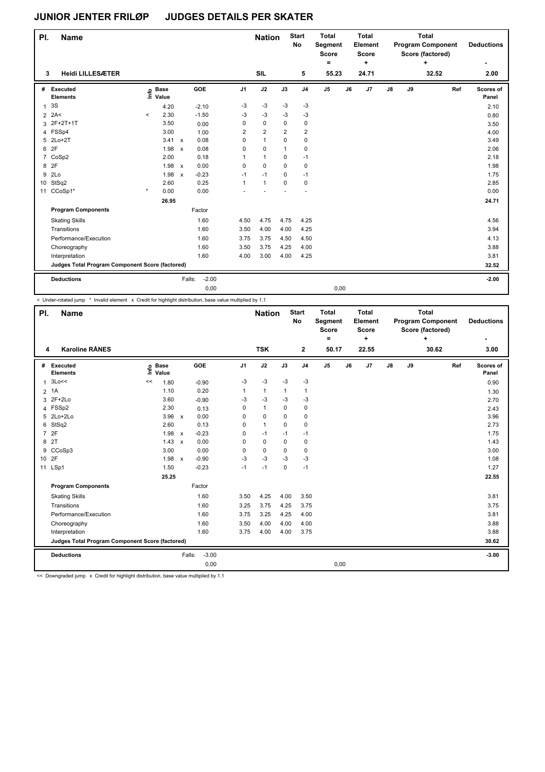| PI.            | <b>Name</b>                                     |                            |        |                         |         |                | <b>Nation</b>  |                | <b>Start</b><br>No | <b>Total</b><br>Segment<br><b>Score</b><br>٠ |    | <b>Total</b><br>Element<br><b>Score</b><br>٠ |    | <b>Total</b><br><b>Program Component</b><br>Score (factored) | <b>Deductions</b> |     |                    |
|----------------|-------------------------------------------------|----------------------------|--------|-------------------------|---------|----------------|----------------|----------------|--------------------|----------------------------------------------|----|----------------------------------------------|----|--------------------------------------------------------------|-------------------|-----|--------------------|
| 3              | <b>Heidi LILLESÆTER</b>                         |                            |        |                         |         |                | <b>SIL</b>     |                | 5                  | 55.23                                        |    | 24.71                                        |    |                                                              | 32.52             |     | 2.00               |
| #              | Executed<br><b>Elements</b>                     | e Base<br>E Value<br>Value |        | GOE                     |         | J <sub>1</sub> | J2             | J3             | J <sub>4</sub>     | $\mathsf{J}5$                                | J6 | J7                                           | J8 | J9                                                           |                   | Ref | Scores of<br>Panel |
| $\mathbf{1}$   | 3S                                              | 4.20                       |        | $-2.10$                 |         | -3             | $-3$           | $-3$           | $-3$               |                                              |    |                                              |    |                                                              |                   |     | 2.10               |
| $\overline{2}$ | 2A<                                             | 2.30<br>$\,<\,$            |        | $-1.50$                 |         | $-3$           | $-3$           | $-3$           | $-3$               |                                              |    |                                              |    |                                                              |                   |     | 0.80               |
| 3              | 2F+2T+1T                                        | 3.50                       |        | 0.00                    |         | 0              | $\mathbf 0$    | $\Omega$       | 0                  |                                              |    |                                              |    |                                                              |                   |     | 3.50               |
|                | 4 FSSp4                                         | 3.00                       |        | 1.00                    |         | $\overline{2}$ | $\overline{2}$ | $\overline{2}$ | 2                  |                                              |    |                                              |    |                                                              |                   |     | 4.00               |
| 5              | $2Lo+2T$                                        |                            | 3.41   | 0.08<br>$\mathsf{x}$    |         | 0              | $\mathbf{1}$   | $\mathbf 0$    | 0                  |                                              |    |                                              |    |                                                              |                   |     | 3.49               |
| 6              | 2F                                              |                            | 1.98   | 0.08<br>$\mathsf{x}$    |         | 0              | 0              | $\mathbf{1}$   | 0                  |                                              |    |                                              |    |                                                              |                   |     | 2.06               |
| $\overline{7}$ | CoSp2                                           | 2.00                       |        | 0.18                    |         | 1              | $\mathbf{1}$   | 0              | $-1$               |                                              |    |                                              |    |                                                              |                   |     | 2.18               |
| 8              | 2F                                              |                            | 1.98 x | 0.00                    |         | 0              | $\mathbf 0$    | $\Omega$       | 0                  |                                              |    |                                              |    |                                                              |                   |     | 1.98               |
| 9              | 2Lo                                             |                            | 1.98   | $-0.23$<br>$\mathsf{x}$ |         | $-1$           | $-1$           | $\Omega$       | $-1$               |                                              |    |                                              |    |                                                              |                   |     | 1.75               |
| 10             | StSq2                                           | 2.60                       |        | 0.25                    |         | 1              | $\mathbf{1}$   | $\mathbf 0$    | 0                  |                                              |    |                                              |    |                                                              |                   |     | 2.85               |
| 11             | CCoSp1*                                         | $\star$<br>0.00            |        | 0.00                    |         |                |                |                |                    |                                              |    |                                              |    |                                                              |                   |     | 0.00               |
|                |                                                 |                            | 26.95  |                         |         |                |                |                |                    |                                              |    |                                              |    |                                                              |                   |     | 24.71              |
|                | <b>Program Components</b>                       |                            |        | Factor                  |         |                |                |                |                    |                                              |    |                                              |    |                                                              |                   |     |                    |
|                | <b>Skating Skills</b>                           |                            |        | 1.60                    |         | 4.50           | 4.75           | 4.75           | 4.25               |                                              |    |                                              |    |                                                              |                   |     | 4.56               |
|                | Transitions                                     |                            |        | 1.60                    |         | 3.50           | 4.00           | 4.00           | 4.25               |                                              |    |                                              |    |                                                              |                   |     | 3.94               |
|                | Performance/Execution                           |                            |        | 1.60                    |         | 3.75           | 3.75           | 4.50           | 4.50               |                                              |    |                                              |    |                                                              |                   |     | 4.13               |
|                | Choreography                                    |                            |        | 1.60                    |         | 3.50           | 3.75           | 4.25           | 4.00               |                                              |    |                                              |    |                                                              |                   |     | 3.88               |
|                | Interpretation                                  |                            |        | 1.60                    |         | 4.00           | 3.00           | 4.00           | 4.25               |                                              |    |                                              |    |                                                              |                   |     | 3.81               |
|                | Judges Total Program Component Score (factored) |                            |        |                         |         |                |                |                |                    |                                              |    |                                              |    |                                                              |                   |     | 32.52              |
|                | <b>Deductions</b>                               |                            |        | Falls:                  | $-2.00$ |                |                |                |                    |                                              |    |                                              |    |                                                              |                   |     | $-2.00$            |
|                |                                                 |                            |        |                         | 0,00    |                |                |                |                    | 0,00                                         |    |                                              |    |                                                              |                   |     |                    |

< Under-rotated jump \* Invalid element x Credit for highlight distribution, base value multiplied by 1.1

| PI.            | <b>Name</b>                                     |                              |              |                   |                | <b>Nation</b> |              | <b>Start</b><br>No | <b>Total</b><br>Segment<br><b>Score</b><br>$=$ |    | <b>Total</b><br>Element<br><b>Score</b><br>÷ | <b>Total</b><br><b>Program Component</b><br>Score (factored)<br>÷ |    |       | <b>Deductions</b> |                    |
|----------------|-------------------------------------------------|------------------------------|--------------|-------------------|----------------|---------------|--------------|--------------------|------------------------------------------------|----|----------------------------------------------|-------------------------------------------------------------------|----|-------|-------------------|--------------------|
|                | <b>Karoline RÅNES</b><br>4                      |                              |              |                   |                | <b>TSK</b>    |              | 2                  | 50.17                                          |    | 22.55                                        |                                                                   |    | 30.62 |                   | 3.00               |
| #              | Executed<br><b>Elements</b>                     | <b>Base</b><br>١nfo<br>Value |              | GOE               | J <sub>1</sub> | J2            | J3           | J <sub>4</sub>     | J <sub>5</sub>                                 | J6 | J7                                           | $\mathsf{J}8$                                                     | J9 |       | Ref               | Scores of<br>Panel |
| $\mathbf{1}$   | 3Lo<<                                           | 1.80<br><<                   |              | $-0.90$           | $-3$           | $-3$          | $-3$         | $-3$               |                                                |    |                                              |                                                                   |    |       |                   | 0.90               |
| $\overline{2}$ | 1A                                              | 1.10                         |              | 0.20              | $\mathbf{1}$   | $\mathbf{1}$  | $\mathbf{1}$ | $\mathbf{1}$       |                                                |    |                                              |                                                                   |    |       |                   | 1.30               |
| 3              | $2F+2Lo$                                        | 3.60                         |              | $-0.90$           | -3             | $-3$          | -3           | -3                 |                                                |    |                                              |                                                                   |    |       |                   | 2.70               |
|                | 4 FSSp2                                         | 2.30                         |              | 0.13              | 0              | $\mathbf{1}$  | 0            | $\mathbf 0$        |                                                |    |                                              |                                                                   |    |       |                   | 2.43               |
|                | 5 2Lo+2Lo                                       | 3.96                         | $\mathsf{x}$ | 0.00              | $\Omega$       | $\Omega$      | $\Omega$     | $\mathbf 0$        |                                                |    |                                              |                                                                   |    |       |                   | 3.96               |
| 6              | StSq2                                           | 2.60                         |              | 0.13              | 0              | $\mathbf{1}$  | $\mathbf 0$  | $\mathbf 0$        |                                                |    |                                              |                                                                   |    |       |                   | 2.73               |
| $\overline{7}$ | 2F                                              | 1.98                         | $\mathsf{x}$ | $-0.23$           | 0              | $-1$          | $-1$         | $-1$               |                                                |    |                                              |                                                                   |    |       |                   | 1.75               |
| 8              | 2T                                              | 1.43                         | $\pmb{\chi}$ | 0.00              | 0              | $\mathbf 0$   | 0            | 0                  |                                                |    |                                              |                                                                   |    |       |                   | 1.43               |
| 9              | CCoSp3                                          | 3.00                         |              | 0.00              | 0              | 0             | 0            | 0                  |                                                |    |                                              |                                                                   |    |       |                   | 3.00               |
|                | 10 2F                                           | 1.98 x                       |              | $-0.90$           | $-3$           | $-3$          | $-3$         | $-3$               |                                                |    |                                              |                                                                   |    |       |                   | 1.08               |
| 11             | LSp1                                            | 1.50                         |              | $-0.23$           | $-1$           | $-1$          | 0            | $-1$               |                                                |    |                                              |                                                                   |    |       |                   | 1.27               |
|                |                                                 | 25.25                        |              |                   |                |               |              |                    |                                                |    |                                              |                                                                   |    |       |                   | 22.55              |
|                | <b>Program Components</b>                       |                              |              | Factor            |                |               |              |                    |                                                |    |                                              |                                                                   |    |       |                   |                    |
|                | <b>Skating Skills</b>                           |                              |              | 1.60              | 3.50           | 4.25          | 4.00         | 3.50               |                                                |    |                                              |                                                                   |    |       |                   | 3.81               |
|                | Transitions                                     |                              |              | 1.60              | 3.25           | 3.75          | 4.25         | 3.75               |                                                |    |                                              |                                                                   |    |       |                   | 3.75               |
|                | Performance/Execution                           |                              |              | 1.60              | 3.75           | 3.25          | 4.25         | 4.00               |                                                |    |                                              |                                                                   |    |       |                   | 3.81               |
|                | Choreography                                    |                              |              | 1.60              | 3.50           | 4.00          | 4.00         | 4.00               |                                                |    |                                              |                                                                   |    |       |                   | 3.88               |
|                | Interpretation                                  |                              |              | 1.60              | 3.75           | 4.00          | 4.00         | 3.75               |                                                |    |                                              |                                                                   |    |       |                   | 3.88               |
|                | Judges Total Program Component Score (factored) |                              |              |                   |                |               |              |                    |                                                |    |                                              |                                                                   |    |       |                   | 30.62              |
|                | <b>Deductions</b>                               |                              |              | $-3.00$<br>Falls: |                |               |              |                    |                                                |    |                                              |                                                                   |    |       |                   | $-3.00$            |
|                |                                                 |                              |              | 0,00              |                |               |              |                    | 0,00                                           |    |                                              |                                                                   |    |       |                   |                    |

<< Downgraded jump x Credit for highlight distribution, base value multiplied by 1.1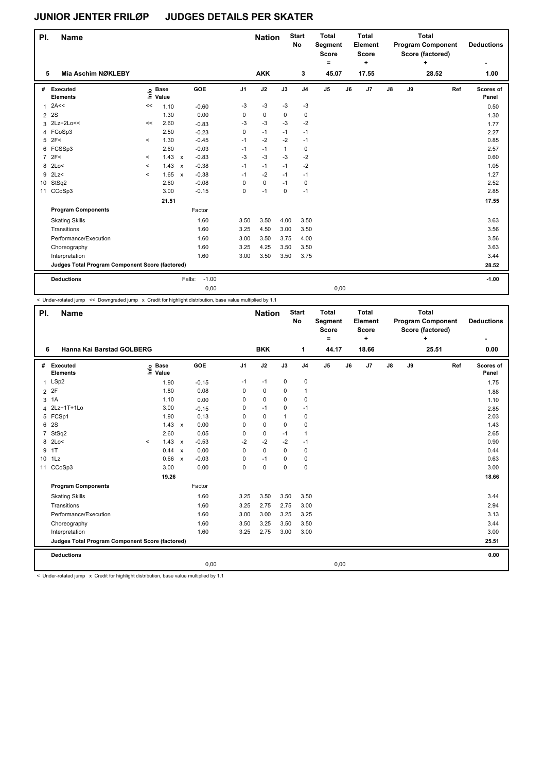| PI.            | <b>Name</b>                                     |          |                            |                           |                   |                | <b>Nation</b> |              | <b>Start</b><br><b>No</b> | <b>Total</b><br>Segment<br><b>Score</b><br>٠ |    | <b>Total</b><br>Element<br><b>Score</b><br>÷ |    | <b>Total</b><br><b>Program Component</b><br>Score (factored) | <b>Deductions</b> |     |                    |
|----------------|-------------------------------------------------|----------|----------------------------|---------------------------|-------------------|----------------|---------------|--------------|---------------------------|----------------------------------------------|----|----------------------------------------------|----|--------------------------------------------------------------|-------------------|-----|--------------------|
| 5              | Mia Aschim NØKLEBY                              |          |                            |                           |                   |                | <b>AKK</b>    |              | 3                         | 45.07                                        |    | 17.55                                        |    |                                                              | 28.52             |     | 1.00               |
| #              | Executed<br><b>Elements</b>                     |          | e Base<br>E Value<br>Value |                           | GOE               | J <sub>1</sub> | J2            | J3           | J <sub>4</sub>            | $\mathsf{J}5$                                | J6 | J <sub>7</sub>                               | J8 | J9                                                           |                   | Ref | Scores of<br>Panel |
| $\overline{1}$ | 2A<<                                            | <<       | 1.10                       |                           | $-0.60$           | $-3$           | $-3$          | $-3$         | $-3$                      |                                              |    |                                              |    |                                                              |                   |     | 0.50               |
| $\overline{2}$ | 2S                                              |          | 1.30                       |                           | 0.00              | 0              | 0             | $\mathbf 0$  | 0                         |                                              |    |                                              |    |                                                              |                   |     | 1.30               |
|                | 3 2Lz+2Lo<<                                     | <<       | 2.60                       |                           | $-0.83$           | $-3$           | $-3$          | $-3$         | $-2$                      |                                              |    |                                              |    |                                                              |                   |     | 1.77               |
|                | 4 FCoSp3                                        |          | 2.50                       |                           | $-0.23$           | 0              | $-1$          | $-1$         | $-1$                      |                                              |    |                                              |    |                                                              |                   |     | 2.27               |
| 5              | 2F<                                             | $\prec$  | 1.30                       |                           | $-0.45$           | $-1$           | $-2$          | $-2$         | $-1$                      |                                              |    |                                              |    |                                                              |                   |     | 0.85               |
| 6              | FCSSp3                                          |          | 2.60                       |                           | $-0.03$           | $-1$           | $-1$          | $\mathbf{1}$ | 0                         |                                              |    |                                              |    |                                                              |                   |     | 2.57               |
| $\overline{7}$ | 2F<                                             | $\,<\,$  | 1.43                       | $\mathsf{x}$              | $-0.83$           | $-3$           | $-3$          | $-3$         | $-2$                      |                                              |    |                                              |    |                                                              |                   |     | 0.60               |
| 8              | 2Lo<                                            | $\,<$    | 1.43                       | $\mathsf{x}$              | $-0.38$           | $-1$           | $-1$          | $-1$         | $-2$                      |                                              |    |                                              |    |                                                              |                   |     | 1.05               |
| 9              | 2Lz                                             | $\hat{}$ | 1.65                       | $\boldsymbol{\mathsf{x}}$ | $-0.38$           | $-1$           | $-2$          | $-1$         | $-1$                      |                                              |    |                                              |    |                                                              |                   |     | 1.27               |
| 10             | StSq2                                           |          | 2.60                       |                           | $-0.08$           | 0              | $\mathbf 0$   | $-1$         | 0                         |                                              |    |                                              |    |                                                              |                   |     | 2.52               |
| 11             | CCoSp3                                          |          | 3.00                       |                           | $-0.15$           | 0              | $-1$          | $\mathbf 0$  | $-1$                      |                                              |    |                                              |    |                                                              |                   |     | 2.85               |
|                |                                                 |          | 21.51                      |                           |                   |                |               |              |                           |                                              |    |                                              |    |                                                              |                   |     | 17.55              |
|                | <b>Program Components</b>                       |          |                            |                           | Factor            |                |               |              |                           |                                              |    |                                              |    |                                                              |                   |     |                    |
|                | <b>Skating Skills</b>                           |          |                            |                           | 1.60              | 3.50           | 3.50          | 4.00         | 3.50                      |                                              |    |                                              |    |                                                              |                   |     | 3.63               |
|                | Transitions                                     |          |                            |                           | 1.60              | 3.25           | 4.50          | 3.00         | 3.50                      |                                              |    |                                              |    |                                                              |                   |     | 3.56               |
|                | Performance/Execution                           |          |                            |                           | 1.60              | 3.00           | 3.50          | 3.75         | 4.00                      |                                              |    |                                              |    |                                                              |                   |     | 3.56               |
|                | Choreography                                    |          |                            |                           | 1.60              | 3.25           | 4.25          | 3.50         | 3.50                      |                                              |    |                                              |    |                                                              |                   |     | 3.63               |
|                | Interpretation                                  |          |                            |                           | 1.60              | 3.00           | 3.50          | 3.50         | 3.75                      |                                              |    |                                              |    |                                                              |                   |     | 3.44               |
|                | Judges Total Program Component Score (factored) |          |                            |                           |                   |                |               |              |                           |                                              |    |                                              |    |                                                              |                   |     | 28.52              |
|                | <b>Deductions</b>                               |          |                            |                           | $-1.00$<br>Falls: |                |               |              |                           |                                              |    |                                              |    |                                                              |                   |     | $-1.00$            |
|                |                                                 |          |                            |                           | 0,00              |                |               |              |                           | 0,00                                         |    |                                              |    |                                                              |                   |     |                    |

< Under-rotated jump << Downgraded jump x Credit for highlight distribution, base value multiplied by 1.1

| PI.             | <b>Name</b>                                     |                              |              |         |                | <b>Start</b><br><b>Nation</b><br><b>No</b> |          | <b>Total</b><br>Segment<br><b>Score</b><br>۰ | <b>Total</b><br>Element<br><b>Score</b><br>÷ |       | <b>Total</b><br><b>Program Component</b><br>Score (factored)<br>÷ |               |       |  | <b>Deductions</b> |                    |
|-----------------|-------------------------------------------------|------------------------------|--------------|---------|----------------|--------------------------------------------|----------|----------------------------------------------|----------------------------------------------|-------|-------------------------------------------------------------------|---------------|-------|--|-------------------|--------------------|
| 6               | Hanna Kai Barstad GOLBERG                       |                              |              |         | <b>BKK</b>     |                                            | 1        | 44.17                                        |                                              | 18.66 |                                                                   |               | 25.51 |  | 0.00              |                    |
|                 | # Executed<br><b>Elements</b>                   | <b>Base</b><br>١nfo<br>Value |              | GOE     | J <sub>1</sub> | J2                                         | J3       | J <sub>4</sub>                               | J5                                           | J6    | J7                                                                | $\mathsf{J}8$ | J9    |  | Ref               | Scores of<br>Panel |
| $\mathbf{1}$    | LSp2                                            | 1.90                         |              | $-0.15$ | $-1$           | $-1$                                       | 0        | 0                                            |                                              |       |                                                                   |               |       |  |                   | 1.75               |
| $\overline{2}$  | 2F                                              | 1.80                         |              | 0.08    | 0              | 0                                          | 0        | $\overline{1}$                               |                                              |       |                                                                   |               |       |  |                   | 1.88               |
| 3               | 1A                                              | 1.10                         |              | 0.00    | 0              | $\mathbf 0$                                | $\Omega$ | 0                                            |                                              |       |                                                                   |               |       |  |                   | 1.10               |
| 4               | 2Lz+1T+1Lo                                      | 3.00                         |              | $-0.15$ | 0              | $-1$                                       | 0        | $-1$                                         |                                              |       |                                                                   |               |       |  |                   | 2.85               |
|                 | 5 FCSp1                                         | 1.90                         |              | 0.13    | 0              | $\mathbf 0$                                | 1        | $\mathbf 0$                                  |                                              |       |                                                                   |               |       |  |                   | 2.03               |
| 6               | 2S                                              | 1.43                         | $\mathsf{x}$ | 0.00    | 0              | 0                                          | 0        | 0                                            |                                              |       |                                                                   |               |       |  |                   | 1.43               |
| $\overline{7}$  | StSq2                                           | 2.60                         |              | 0.05    | 0              | 0                                          | $-1$     | $\overline{1}$                               |                                              |       |                                                                   |               |       |  |                   | 2.65               |
|                 | 8 2Lo<                                          | 1.43<br>$\prec$              | $\mathsf{x}$ | $-0.53$ | $-2$           | $-2$                                       | $-2$     | $-1$                                         |                                              |       |                                                                   |               |       |  |                   | 0.90               |
| 9               | 1T                                              | 0.44                         | $\mathbf{x}$ | 0.00    | $\Omega$       | $\mathbf 0$                                | $\Omega$ | $\mathbf 0$                                  |                                              |       |                                                                   |               |       |  |                   | 0.44               |
| 10 <sub>1</sub> | 1Lz                                             | 0.66                         | $\mathsf{x}$ | $-0.03$ | 0              | $-1$                                       | 0        | $\mathbf 0$                                  |                                              |       |                                                                   |               |       |  |                   | 0.63               |
| 11              | CCoSp3                                          | 3.00                         |              | 0.00    | 0              | $\mathbf 0$                                | $\Omega$ | 0                                            |                                              |       |                                                                   |               |       |  |                   | 3.00               |
|                 |                                                 | 19.26                        |              |         |                |                                            |          |                                              |                                              |       |                                                                   |               |       |  |                   | 18.66              |
|                 | <b>Program Components</b>                       |                              |              | Factor  |                |                                            |          |                                              |                                              |       |                                                                   |               |       |  |                   |                    |
|                 | <b>Skating Skills</b>                           |                              |              | 1.60    | 3.25           | 3.50                                       | 3.50     | 3.50                                         |                                              |       |                                                                   |               |       |  |                   | 3.44               |
|                 | Transitions                                     |                              |              | 1.60    | 3.25           | 2.75                                       | 2.75     | 3.00                                         |                                              |       |                                                                   |               |       |  |                   | 2.94               |
|                 | Performance/Execution                           |                              |              | 1.60    | 3.00           | 3.00                                       | 3.25     | 3.25                                         |                                              |       |                                                                   |               |       |  |                   | 3.13               |
|                 | Choreography                                    |                              |              | 1.60    | 3.50           | 3.25                                       | 3.50     | 3.50                                         |                                              |       |                                                                   |               |       |  |                   | 3.44               |
|                 | Interpretation                                  |                              |              | 1.60    | 3.25           | 2.75                                       | 3.00     | 3.00                                         |                                              |       |                                                                   |               |       |  |                   | 3.00               |
|                 | Judges Total Program Component Score (factored) |                              |              |         |                |                                            |          |                                              |                                              |       |                                                                   |               |       |  |                   | 25.51              |
|                 | <b>Deductions</b>                               |                              |              |         |                |                                            |          |                                              |                                              |       |                                                                   |               |       |  |                   | 0.00               |
|                 |                                                 |                              |              | 0,00    |                |                                            |          |                                              | 0,00                                         |       |                                                                   |               |       |  |                   |                    |

< Under-rotated jump x Credit for highlight distribution, base value multiplied by 1.1